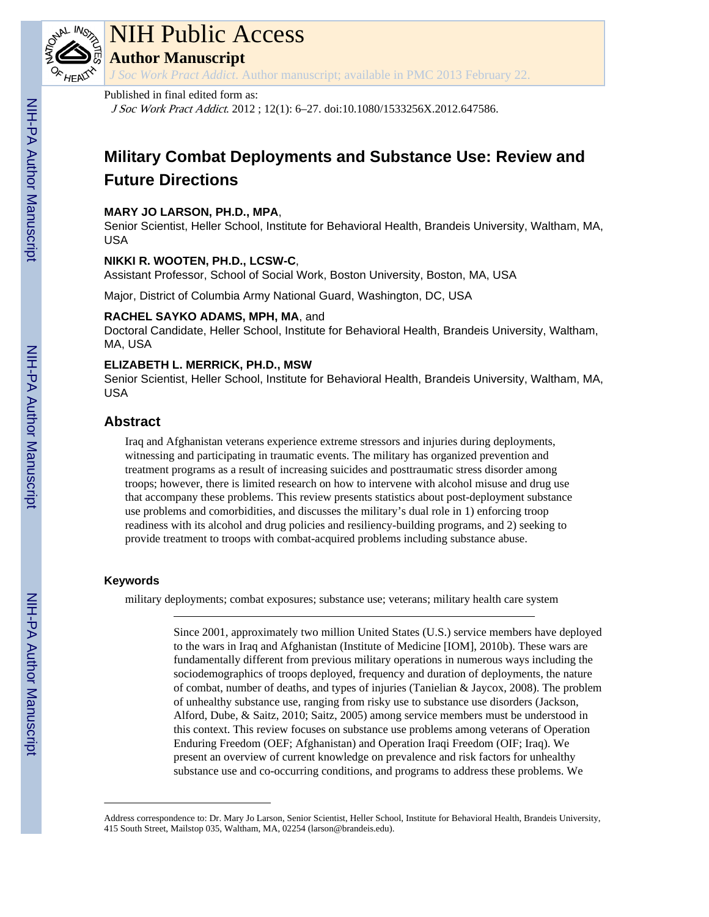

# NIH Public Access

**Author Manuscript**

*J Soc Work Pract Addict*. Author manuscript; available in PMC 2013 February 22.

# Published in final edited form as:

J Soc Work Pract Addict. 2012 ; 12(1): 6–27. doi:10.1080/1533256X.2012.647586.

# **Military Combat Deployments and Substance Use: Review and Future Directions**

# **MARY JO LARSON, PH.D., MPA**,

Senior Scientist, Heller School, Institute for Behavioral Health, Brandeis University, Waltham, MA, USA

# **NIKKI R. WOOTEN, PH.D., LCSW-C**,

Assistant Professor, School of Social Work, Boston University, Boston, MA, USA

Major, District of Columbia Army National Guard, Washington, DC, USA

# **RACHEL SAYKO ADAMS, MPH, MA**, and

Doctoral Candidate, Heller School, Institute for Behavioral Health, Brandeis University, Waltham, MA, USA

# **ELIZABETH L. MERRICK, PH.D., MSW**

Senior Scientist, Heller School, Institute for Behavioral Health, Brandeis University, Waltham, MA, USA

# **Abstract**

Iraq and Afghanistan veterans experience extreme stressors and injuries during deployments, witnessing and participating in traumatic events. The military has organized prevention and treatment programs as a result of increasing suicides and posttraumatic stress disorder among troops; however, there is limited research on how to intervene with alcohol misuse and drug use that accompany these problems. This review presents statistics about post-deployment substance use problems and comorbidities, and discusses the military's dual role in 1) enforcing troop readiness with its alcohol and drug policies and resiliency-building programs, and 2) seeking to provide treatment to troops with combat-acquired problems including substance abuse.

# **Keywords**

military deployments; combat exposures; substance use; veterans; military health care system

Since 2001, approximately two million United States (U.S.) service members have deployed to the wars in Iraq and Afghanistan (Institute of Medicine [IOM], 2010b). These wars are fundamentally different from previous military operations in numerous ways including the sociodemographics of troops deployed, frequency and duration of deployments, the nature of combat, number of deaths, and types of injuries (Tanielian & Jaycox, 2008). The problem of unhealthy substance use, ranging from risky use to substance use disorders (Jackson, Alford, Dube, & Saitz, 2010; Saitz, 2005) among service members must be understood in this context. This review focuses on substance use problems among veterans of Operation Enduring Freedom (OEF; Afghanistan) and Operation Iraqi Freedom (OIF; Iraq). We present an overview of current knowledge on prevalence and risk factors for unhealthy substance use and co-occurring conditions, and programs to address these problems. We

Address correspondence to: Dr. Mary Jo Larson, Senior Scientist, Heller School, Institute for Behavioral Health, Brandeis University, 415 South Street, Mailstop 035, Waltham, MA, 02254 (larson@brandeis.edu).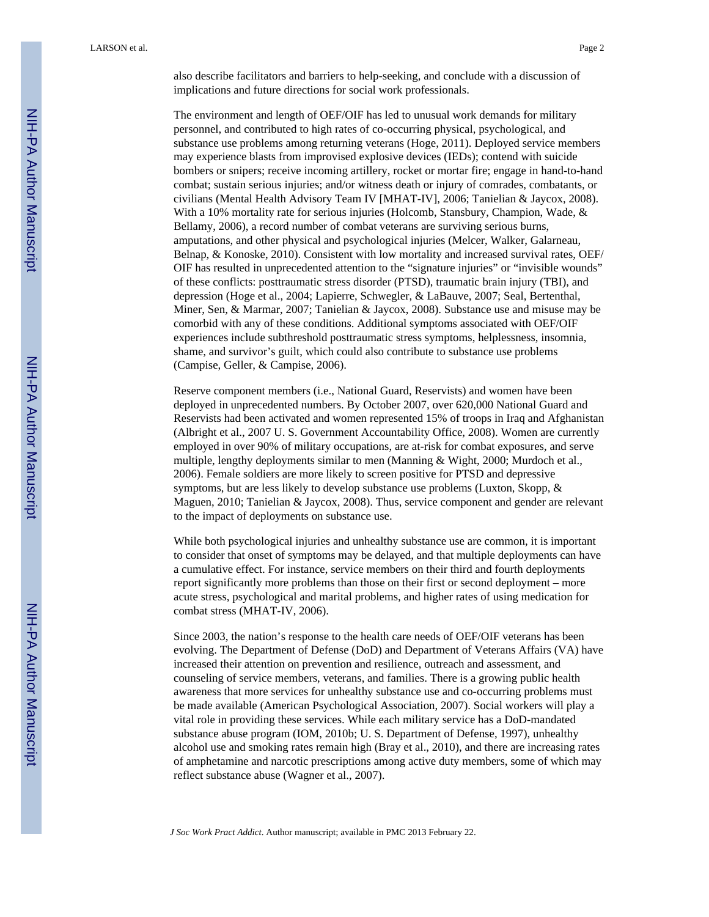also describe facilitators and barriers to help-seeking, and conclude with a discussion of implications and future directions for social work professionals.

The environment and length of OEF/OIF has led to unusual work demands for military personnel, and contributed to high rates of co-occurring physical, psychological, and substance use problems among returning veterans (Hoge, 2011). Deployed service members may experience blasts from improvised explosive devices (IEDs); contend with suicide bombers or snipers; receive incoming artillery, rocket or mortar fire; engage in hand-to-hand combat; sustain serious injuries; and/or witness death or injury of comrades, combatants, or civilians (Mental Health Advisory Team IV [MHAT-IV], 2006; Tanielian & Jaycox, 2008). With a 10% mortality rate for serious injuries (Holcomb, Stansbury, Champion, Wade, & Bellamy, 2006), a record number of combat veterans are surviving serious burns, amputations, and other physical and psychological injuries (Melcer, Walker, Galarneau, Belnap, & Konoske, 2010). Consistent with low mortality and increased survival rates, OEF/ OIF has resulted in unprecedented attention to the "signature injuries" or "invisible wounds" of these conflicts: posttraumatic stress disorder (PTSD), traumatic brain injury (TBI), and depression (Hoge et al., 2004; Lapierre, Schwegler, & LaBauve, 2007; Seal, Bertenthal, Miner, Sen, & Marmar, 2007; Tanielian & Jaycox, 2008). Substance use and misuse may be comorbid with any of these conditions. Additional symptoms associated with OEF/OIF experiences include subthreshold posttraumatic stress symptoms, helplessness, insomnia, shame, and survivor's guilt, which could also contribute to substance use problems (Campise, Geller, & Campise, 2006).

Reserve component members (i.e., National Guard, Reservists) and women have been deployed in unprecedented numbers. By October 2007, over 620,000 National Guard and Reservists had been activated and women represented 15% of troops in Iraq and Afghanistan (Albright et al., 2007 U. S. Government Accountability Office, 2008). Women are currently employed in over 90% of military occupations, are at-risk for combat exposures, and serve multiple, lengthy deployments similar to men (Manning & Wight, 2000; Murdoch et al., 2006). Female soldiers are more likely to screen positive for PTSD and depressive symptoms, but are less likely to develop substance use problems (Luxton, Skopp, & Maguen, 2010; Tanielian & Jaycox, 2008). Thus, service component and gender are relevant to the impact of deployments on substance use.

While both psychological injuries and unhealthy substance use are common, it is important to consider that onset of symptoms may be delayed, and that multiple deployments can have a cumulative effect. For instance, service members on their third and fourth deployments report significantly more problems than those on their first or second deployment – more acute stress, psychological and marital problems, and higher rates of using medication for combat stress (MHAT-IV, 2006).

Since 2003, the nation's response to the health care needs of OEF/OIF veterans has been evolving. The Department of Defense (DoD) and Department of Veterans Affairs (VA) have increased their attention on prevention and resilience, outreach and assessment, and counseling of service members, veterans, and families. There is a growing public health awareness that more services for unhealthy substance use and co-occurring problems must be made available (American Psychological Association, 2007). Social workers will play a vital role in providing these services. While each military service has a DoD-mandated substance abuse program (IOM, 2010b; U. S. Department of Defense, 1997), unhealthy alcohol use and smoking rates remain high (Bray et al., 2010), and there are increasing rates of amphetamine and narcotic prescriptions among active duty members, some of which may reflect substance abuse (Wagner et al., 2007).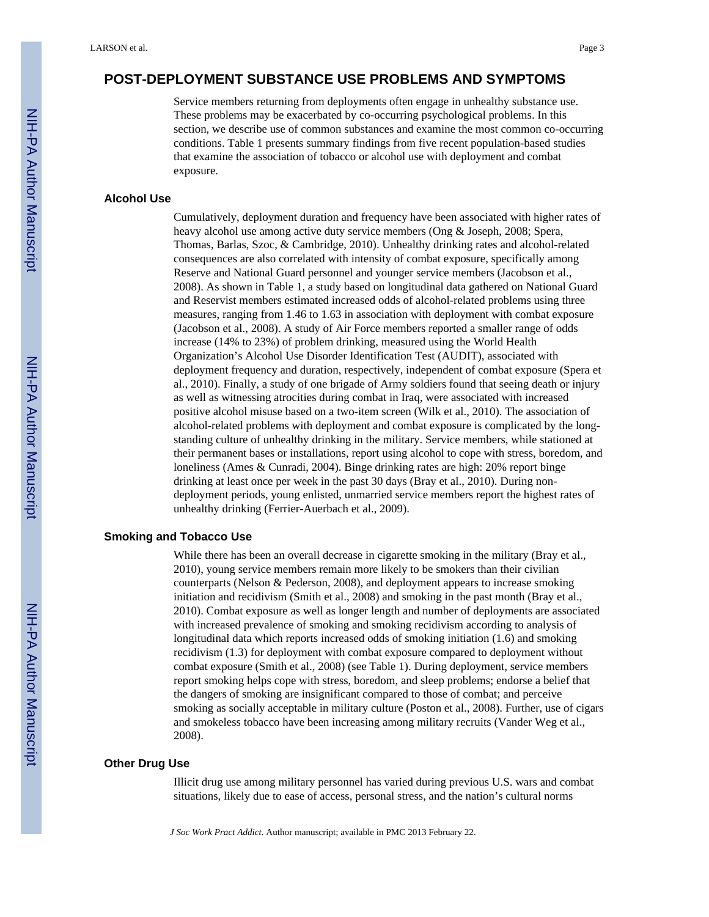# **POST-DEPLOYMENT SUBSTANCE USE PROBLEMS AND SYMPTOMS**

Service members returning from deployments often engage in unhealthy substance use. These problems may be exacerbated by co-occurring psychological problems. In this section, we describe use of common substances and examine the most common co-occurring conditions. Table 1 presents summary findings from five recent population-based studies that examine the association of tobacco or alcohol use with deployment and combat exposure.

#### **Alcohol Use**

Cumulatively, deployment duration and frequency have been associated with higher rates of heavy alcohol use among active duty service members (Ong & Joseph, 2008; Spera, Thomas, Barlas, Szoc, & Cambridge, 2010). Unhealthy drinking rates and alcohol-related consequences are also correlated with intensity of combat exposure, specifically among Reserve and National Guard personnel and younger service members (Jacobson et al., 2008). As shown in Table 1, a study based on longitudinal data gathered on National Guard and Reservist members estimated increased odds of alcohol-related problems using three measures, ranging from 1.46 to 1.63 in association with deployment with combat exposure (Jacobson et al., 2008). A study of Air Force members reported a smaller range of odds increase (14% to 23%) of problem drinking, measured using the World Health Organization's Alcohol Use Disorder Identification Test (AUDIT), associated with deployment frequency and duration, respectively, independent of combat exposure (Spera et al., 2010). Finally, a study of one brigade of Army soldiers found that seeing death or injury as well as witnessing atrocities during combat in Iraq, were associated with increased positive alcohol misuse based on a two-item screen (Wilk et al., 2010). The association of alcohol-related problems with deployment and combat exposure is complicated by the longstanding culture of unhealthy drinking in the military. Service members, while stationed at their permanent bases or installations, report using alcohol to cope with stress, boredom, and loneliness (Ames & Cunradi, 2004). Binge drinking rates are high: 20% report binge drinking at least once per week in the past 30 days (Bray et al., 2010). During nondeployment periods, young enlisted, unmarried service members report the highest rates of unhealthy drinking (Ferrier-Auerbach et al., 2009).

#### **Smoking and Tobacco Use**

While there has been an overall decrease in cigarette smoking in the military (Bray et al., 2010), young service members remain more likely to be smokers than their civilian counterparts (Nelson & Pederson, 2008), and deployment appears to increase smoking initiation and recidivism (Smith et al., 2008) and smoking in the past month (Bray et al., 2010). Combat exposure as well as longer length and number of deployments are associated with increased prevalence of smoking and smoking recidivism according to analysis of longitudinal data which reports increased odds of smoking initiation (1.6) and smoking recidivism (1.3) for deployment with combat exposure compared to deployment without combat exposure (Smith et al., 2008) (see Table 1). During deployment, service members report smoking helps cope with stress, boredom, and sleep problems; endorse a belief that the dangers of smoking are insignificant compared to those of combat; and perceive smoking as socially acceptable in military culture (Poston et al., 2008). Further, use of cigars and smokeless tobacco have been increasing among military recruits (Vander Weg et al., 2008).

#### **Other Drug Use**

Illicit drug use among military personnel has varied during previous U.S. wars and combat situations, likely due to ease of access, personal stress, and the nation's cultural norms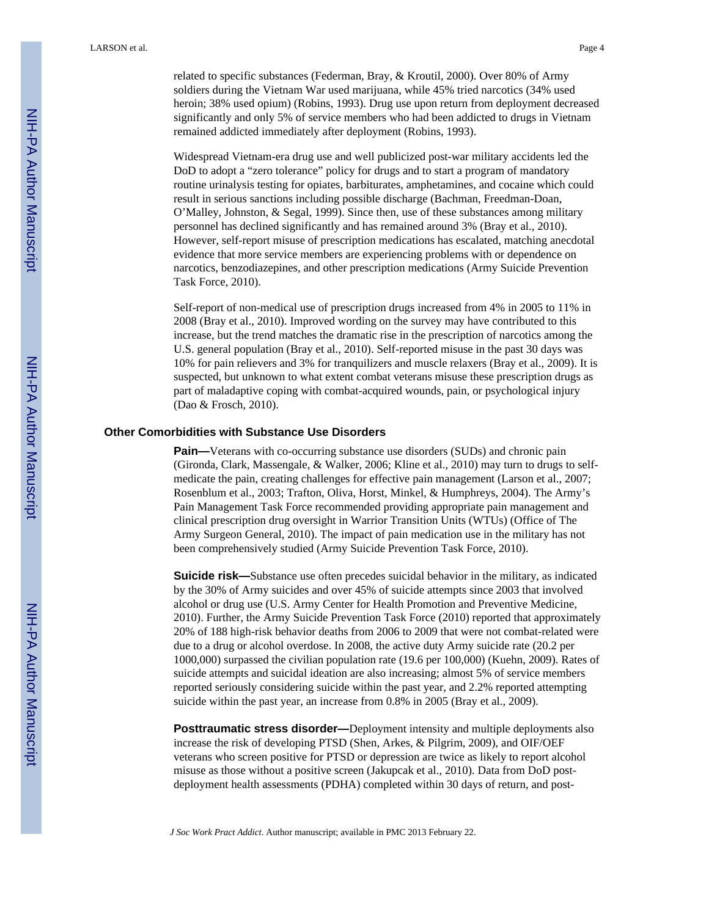related to specific substances (Federman, Bray, & Kroutil, 2000). Over 80% of Army soldiers during the Vietnam War used marijuana, while 45% tried narcotics (34% used heroin; 38% used opium) (Robins, 1993). Drug use upon return from deployment decreased significantly and only 5% of service members who had been addicted to drugs in Vietnam remained addicted immediately after deployment (Robins, 1993).

Widespread Vietnam-era drug use and well publicized post-war military accidents led the DoD to adopt a "zero tolerance" policy for drugs and to start a program of mandatory routine urinalysis testing for opiates, barbiturates, amphetamines, and cocaine which could result in serious sanctions including possible discharge (Bachman, Freedman-Doan, O'Malley, Johnston, & Segal, 1999). Since then, use of these substances among military personnel has declined significantly and has remained around 3% (Bray et al., 2010). However, self-report misuse of prescription medications has escalated, matching anecdotal evidence that more service members are experiencing problems with or dependence on narcotics, benzodiazepines, and other prescription medications (Army Suicide Prevention Task Force, 2010).

Self-report of non-medical use of prescription drugs increased from 4% in 2005 to 11% in 2008 (Bray et al., 2010). Improved wording on the survey may have contributed to this increase, but the trend matches the dramatic rise in the prescription of narcotics among the U.S. general population (Bray et al., 2010). Self-reported misuse in the past 30 days was 10% for pain relievers and 3% for tranquilizers and muscle relaxers (Bray et al., 2009). It is suspected, but unknown to what extent combat veterans misuse these prescription drugs as part of maladaptive coping with combat-acquired wounds, pain, or psychological injury (Dao & Frosch, 2010).

#### **Other Comorbidities with Substance Use Disorders**

**Pain—**Veterans with co-occurring substance use disorders (SUDs) and chronic pain (Gironda, Clark, Massengale, & Walker, 2006; Kline et al., 2010) may turn to drugs to selfmedicate the pain, creating challenges for effective pain management (Larson et al., 2007; Rosenblum et al., 2003; Trafton, Oliva, Horst, Minkel, & Humphreys, 2004). The Army's Pain Management Task Force recommended providing appropriate pain management and clinical prescription drug oversight in Warrior Transition Units (WTUs) (Office of The Army Surgeon General, 2010). The impact of pain medication use in the military has not been comprehensively studied (Army Suicide Prevention Task Force, 2010).

**Suicide risk—**Substance use often precedes suicidal behavior in the military, as indicated by the 30% of Army suicides and over 45% of suicide attempts since 2003 that involved alcohol or drug use (U.S. Army Center for Health Promotion and Preventive Medicine, 2010). Further, the Army Suicide Prevention Task Force (2010) reported that approximately 20% of 188 high-risk behavior deaths from 2006 to 2009 that were not combat-related were due to a drug or alcohol overdose. In 2008, the active duty Army suicide rate (20.2 per 1000,000) surpassed the civilian population rate (19.6 per 100,000) (Kuehn, 2009). Rates of suicide attempts and suicidal ideation are also increasing; almost 5% of service members reported seriously considering suicide within the past year, and 2.2% reported attempting suicide within the past year, an increase from 0.8% in 2005 (Bray et al., 2009).

**Posttraumatic stress disorder—**Deployment intensity and multiple deployments also increase the risk of developing PTSD (Shen, Arkes, & Pilgrim, 2009), and OIF/OEF veterans who screen positive for PTSD or depression are twice as likely to report alcohol misuse as those without a positive screen (Jakupcak et al., 2010). Data from DoD postdeployment health assessments (PDHA) completed within 30 days of return, and post-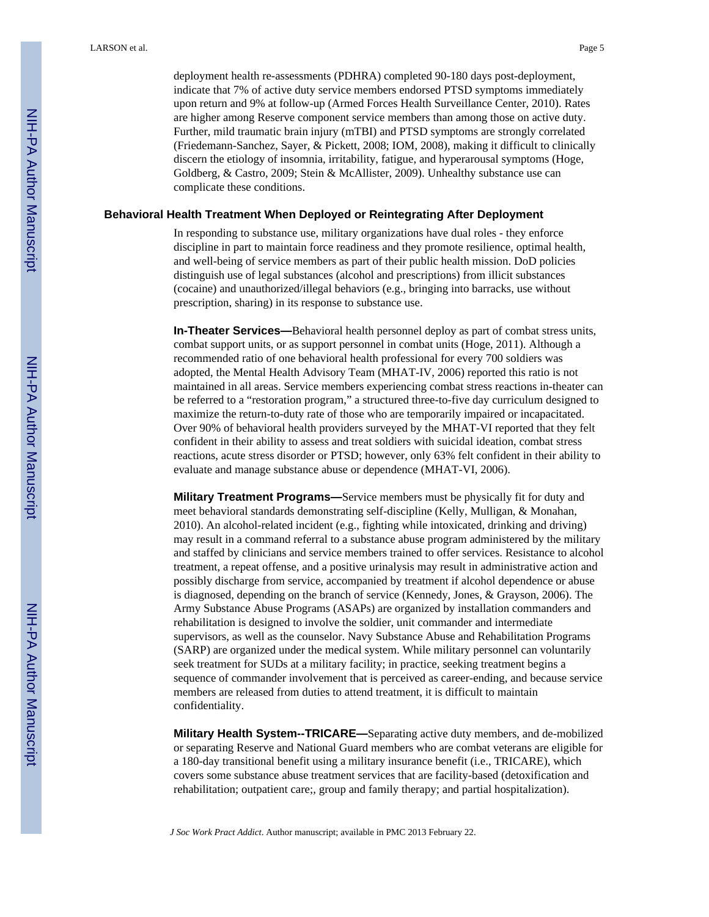deployment health re-assessments (PDHRA) completed 90-180 days post-deployment, indicate that 7% of active duty service members endorsed PTSD symptoms immediately upon return and 9% at follow-up (Armed Forces Health Surveillance Center, 2010). Rates are higher among Reserve component service members than among those on active duty. Further, mild traumatic brain injury (mTBI) and PTSD symptoms are strongly correlated (Friedemann-Sanchez, Sayer, & Pickett, 2008; IOM, 2008), making it difficult to clinically discern the etiology of insomnia, irritability, fatigue, and hyperarousal symptoms (Hoge, Goldberg, & Castro, 2009; Stein & McAllister, 2009). Unhealthy substance use can complicate these conditions.

#### **Behavioral Health Treatment When Deployed or Reintegrating After Deployment**

In responding to substance use, military organizations have dual roles - they enforce discipline in part to maintain force readiness and they promote resilience, optimal health, and well-being of service members as part of their public health mission. DoD policies distinguish use of legal substances (alcohol and prescriptions) from illicit substances (cocaine) and unauthorized/illegal behaviors (e.g., bringing into barracks, use without prescription, sharing) in its response to substance use.

**In-Theater Services—**Behavioral health personnel deploy as part of combat stress units, combat support units, or as support personnel in combat units (Hoge, 2011). Although a recommended ratio of one behavioral health professional for every 700 soldiers was adopted, the Mental Health Advisory Team (MHAT-IV, 2006) reported this ratio is not maintained in all areas. Service members experiencing combat stress reactions in-theater can be referred to a "restoration program," a structured three-to-five day curriculum designed to maximize the return-to-duty rate of those who are temporarily impaired or incapacitated. Over 90% of behavioral health providers surveyed by the MHAT-VI reported that they felt confident in their ability to assess and treat soldiers with suicidal ideation, combat stress reactions, acute stress disorder or PTSD; however, only 63% felt confident in their ability to evaluate and manage substance abuse or dependence (MHAT-VI, 2006).

**Military Treatment Programs—**Service members must be physically fit for duty and meet behavioral standards demonstrating self-discipline (Kelly, Mulligan, & Monahan, 2010). An alcohol-related incident (e.g., fighting while intoxicated, drinking and driving) may result in a command referral to a substance abuse program administered by the military and staffed by clinicians and service members trained to offer services. Resistance to alcohol treatment, a repeat offense, and a positive urinalysis may result in administrative action and possibly discharge from service, accompanied by treatment if alcohol dependence or abuse is diagnosed, depending on the branch of service (Kennedy, Jones, & Grayson, 2006). The Army Substance Abuse Programs (ASAPs) are organized by installation commanders and rehabilitation is designed to involve the soldier, unit commander and intermediate supervisors, as well as the counselor. Navy Substance Abuse and Rehabilitation Programs (SARP) are organized under the medical system. While military personnel can voluntarily seek treatment for SUDs at a military facility; in practice, seeking treatment begins a sequence of commander involvement that is perceived as career-ending, and because service members are released from duties to attend treatment, it is difficult to maintain confidentiality.

**Military Health System--TRICARE—**Separating active duty members, and de-mobilized or separating Reserve and National Guard members who are combat veterans are eligible for a 180-day transitional benefit using a military insurance benefit (i.e., TRICARE), which covers some substance abuse treatment services that are facility-based (detoxification and rehabilitation; outpatient care;, group and family therapy; and partial hospitalization).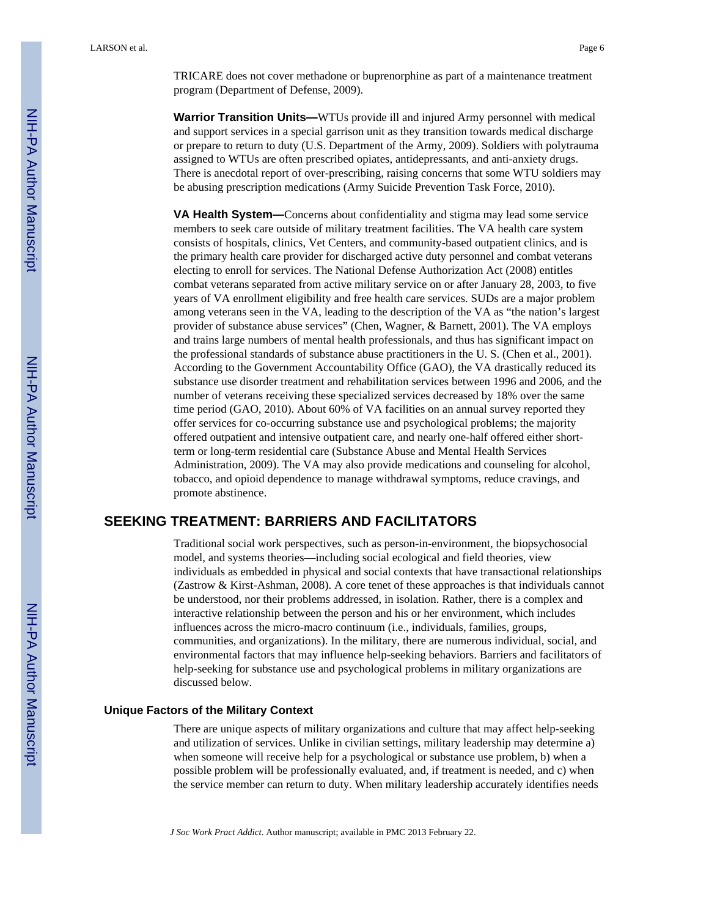LARSON et al. Page 6

TRICARE does not cover methadone or buprenorphine as part of a maintenance treatment program (Department of Defense, 2009).

**Warrior Transition Units—**WTUs provide ill and injured Army personnel with medical and support services in a special garrison unit as they transition towards medical discharge or prepare to return to duty (U.S. Department of the Army, 2009). Soldiers with polytrauma assigned to WTUs are often prescribed opiates, antidepressants, and anti-anxiety drugs. There is anecdotal report of over-prescribing, raising concerns that some WTU soldiers may be abusing prescription medications (Army Suicide Prevention Task Force, 2010).

**VA Health System—**Concerns about confidentiality and stigma may lead some service members to seek care outside of military treatment facilities. The VA health care system consists of hospitals, clinics, Vet Centers, and community-based outpatient clinics, and is the primary health care provider for discharged active duty personnel and combat veterans electing to enroll for services. The National Defense Authorization Act (2008) entitles combat veterans separated from active military service on or after January 28, 2003, to five years of VA enrollment eligibility and free health care services. SUDs are a major problem among veterans seen in the VA, leading to the description of the VA as "the nation's largest provider of substance abuse services" (Chen, Wagner, & Barnett, 2001). The VA employs and trains large numbers of mental health professionals, and thus has significant impact on the professional standards of substance abuse practitioners in the U. S. (Chen et al., 2001). According to the Government Accountability Office (GAO), the VA drastically reduced its substance use disorder treatment and rehabilitation services between 1996 and 2006, and the number of veterans receiving these specialized services decreased by 18% over the same time period (GAO, 2010). About 60% of VA facilities on an annual survey reported they offer services for co-occurring substance use and psychological problems; the majority offered outpatient and intensive outpatient care, and nearly one-half offered either shortterm or long-term residential care (Substance Abuse and Mental Health Services Administration, 2009). The VA may also provide medications and counseling for alcohol, tobacco, and opioid dependence to manage withdrawal symptoms, reduce cravings, and promote abstinence.

# **SEEKING TREATMENT: BARRIERS AND FACILITATORS**

Traditional social work perspectives, such as person-in-environment, the biopsychosocial model, and systems theories—including social ecological and field theories, view individuals as embedded in physical and social contexts that have transactional relationships (Zastrow & Kirst-Ashman, 2008). A core tenet of these approaches is that individuals cannot be understood, nor their problems addressed, in isolation. Rather, there is a complex and interactive relationship between the person and his or her environment, which includes influences across the micro-macro continuum (i.e., individuals, families, groups, communities, and organizations). In the military, there are numerous individual, social, and environmental factors that may influence help-seeking behaviors. Barriers and facilitators of help-seeking for substance use and psychological problems in military organizations are discussed below.

#### **Unique Factors of the Military Context**

There are unique aspects of military organizations and culture that may affect help-seeking and utilization of services. Unlike in civilian settings, military leadership may determine a) when someone will receive help for a psychological or substance use problem, b) when a possible problem will be professionally evaluated, and, if treatment is needed, and c) when the service member can return to duty. When military leadership accurately identifies needs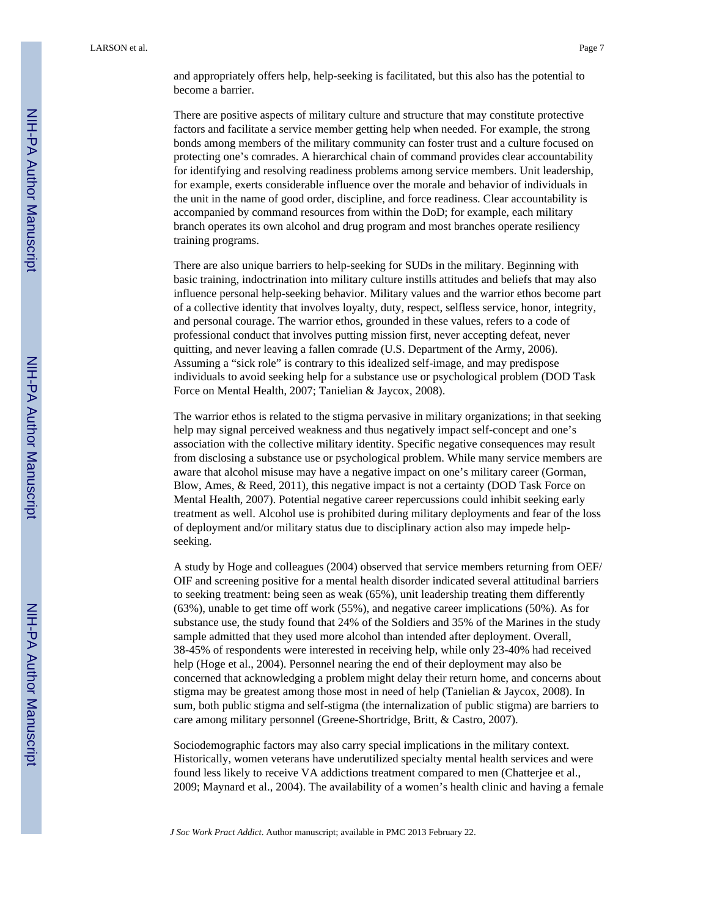and appropriately offers help, help-seeking is facilitated, but this also has the potential to become a barrier.

There are positive aspects of military culture and structure that may constitute protective factors and facilitate a service member getting help when needed. For example, the strong bonds among members of the military community can foster trust and a culture focused on protecting one's comrades. A hierarchical chain of command provides clear accountability for identifying and resolving readiness problems among service members. Unit leadership, for example, exerts considerable influence over the morale and behavior of individuals in the unit in the name of good order, discipline, and force readiness. Clear accountability is accompanied by command resources from within the DoD; for example, each military branch operates its own alcohol and drug program and most branches operate resiliency training programs.

There are also unique barriers to help-seeking for SUDs in the military. Beginning with basic training, indoctrination into military culture instills attitudes and beliefs that may also influence personal help-seeking behavior. Military values and the warrior ethos become part of a collective identity that involves loyalty, duty, respect, selfless service, honor, integrity, and personal courage. The warrior ethos, grounded in these values, refers to a code of professional conduct that involves putting mission first, never accepting defeat, never quitting, and never leaving a fallen comrade (U.S. Department of the Army, 2006). Assuming a "sick role" is contrary to this idealized self-image, and may predispose individuals to avoid seeking help for a substance use or psychological problem (DOD Task Force on Mental Health, 2007; Tanielian & Jaycox, 2008).

The warrior ethos is related to the stigma pervasive in military organizations; in that seeking help may signal perceived weakness and thus negatively impact self-concept and one's association with the collective military identity. Specific negative consequences may result from disclosing a substance use or psychological problem. While many service members are aware that alcohol misuse may have a negative impact on one's military career (Gorman, Blow, Ames, & Reed, 2011), this negative impact is not a certainty (DOD Task Force on Mental Health, 2007). Potential negative career repercussions could inhibit seeking early treatment as well. Alcohol use is prohibited during military deployments and fear of the loss of deployment and/or military status due to disciplinary action also may impede helpseeking.

A study by Hoge and colleagues (2004) observed that service members returning from OEF/ OIF and screening positive for a mental health disorder indicated several attitudinal barriers to seeking treatment: being seen as weak (65%), unit leadership treating them differently (63%), unable to get time off work (55%), and negative career implications (50%). As for substance use, the study found that 24% of the Soldiers and 35% of the Marines in the study sample admitted that they used more alcohol than intended after deployment. Overall, 38-45% of respondents were interested in receiving help, while only 23-40% had received help (Hoge et al., 2004). Personnel nearing the end of their deployment may also be concerned that acknowledging a problem might delay their return home, and concerns about stigma may be greatest among those most in need of help (Tanielian & Jaycox, 2008). In sum, both public stigma and self-stigma (the internalization of public stigma) are barriers to care among military personnel (Greene-Shortridge, Britt, & Castro, 2007).

Sociodemographic factors may also carry special implications in the military context. Historically, women veterans have underutilized specialty mental health services and were found less likely to receive VA addictions treatment compared to men (Chatterjee et al., 2009; Maynard et al., 2004). The availability of a women's health clinic and having a female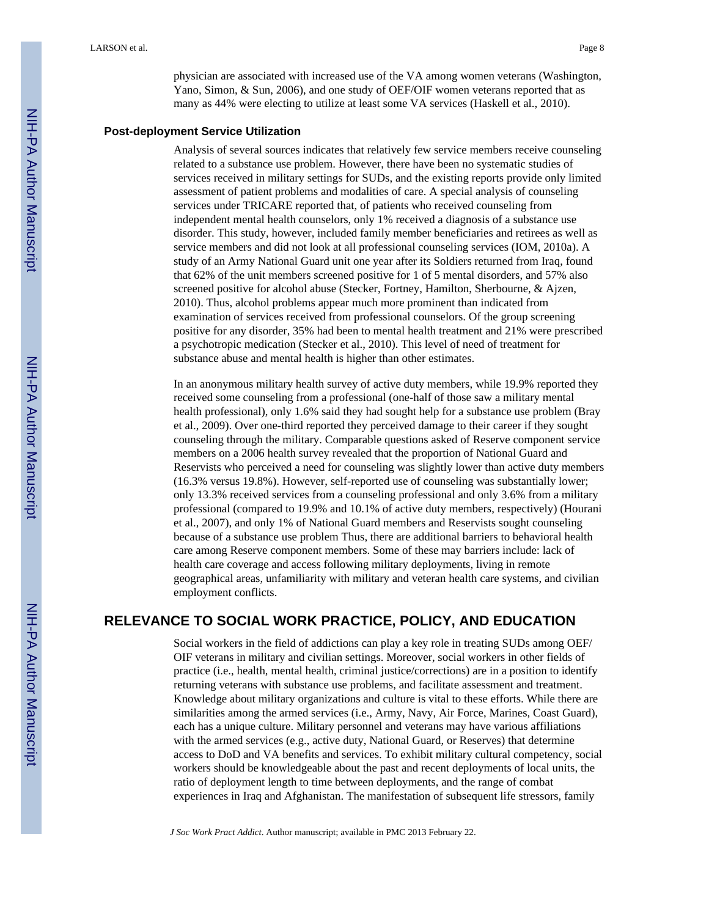physician are associated with increased use of the VA among women veterans (Washington, Yano, Simon, & Sun, 2006), and one study of OEF/OIF women veterans reported that as many as 44% were electing to utilize at least some VA services (Haskell et al., 2010).

#### **Post-deployment Service Utilization**

Analysis of several sources indicates that relatively few service members receive counseling related to a substance use problem. However, there have been no systematic studies of services received in military settings for SUDs, and the existing reports provide only limited assessment of patient problems and modalities of care. A special analysis of counseling services under TRICARE reported that, of patients who received counseling from independent mental health counselors, only 1% received a diagnosis of a substance use disorder. This study, however, included family member beneficiaries and retirees as well as service members and did not look at all professional counseling services (IOM, 2010a). A study of an Army National Guard unit one year after its Soldiers returned from Iraq, found that 62% of the unit members screened positive for 1 of 5 mental disorders, and 57% also screened positive for alcohol abuse (Stecker, Fortney, Hamilton, Sherbourne, & Ajzen, 2010). Thus, alcohol problems appear much more prominent than indicated from examination of services received from professional counselors. Of the group screening positive for any disorder, 35% had been to mental health treatment and 21% were prescribed a psychotropic medication (Stecker et al., 2010). This level of need of treatment for substance abuse and mental health is higher than other estimates.

In an anonymous military health survey of active duty members, while 19.9% reported they received some counseling from a professional (one-half of those saw a military mental health professional), only 1.6% said they had sought help for a substance use problem (Bray et al., 2009). Over one-third reported they perceived damage to their career if they sought counseling through the military. Comparable questions asked of Reserve component service members on a 2006 health survey revealed that the proportion of National Guard and Reservists who perceived a need for counseling was slightly lower than active duty members (16.3% versus 19.8%). However, self-reported use of counseling was substantially lower; only 13.3% received services from a counseling professional and only 3.6% from a military professional (compared to 19.9% and 10.1% of active duty members, respectively) (Hourani et al., 2007), and only 1% of National Guard members and Reservists sought counseling because of a substance use problem Thus, there are additional barriers to behavioral health care among Reserve component members. Some of these may barriers include: lack of health care coverage and access following military deployments, living in remote geographical areas, unfamiliarity with military and veteran health care systems, and civilian employment conflicts.

# **RELEVANCE TO SOCIAL WORK PRACTICE, POLICY, AND EDUCATION**

Social workers in the field of addictions can play a key role in treating SUDs among OEF/ OIF veterans in military and civilian settings. Moreover, social workers in other fields of practice (i.e., health, mental health, criminal justice/corrections) are in a position to identify returning veterans with substance use problems, and facilitate assessment and treatment. Knowledge about military organizations and culture is vital to these efforts. While there are similarities among the armed services (i.e., Army, Navy, Air Force, Marines, Coast Guard), each has a unique culture. Military personnel and veterans may have various affiliations with the armed services (e.g., active duty, National Guard, or Reserves) that determine access to DoD and VA benefits and services. To exhibit military cultural competency, social workers should be knowledgeable about the past and recent deployments of local units, the ratio of deployment length to time between deployments, and the range of combat experiences in Iraq and Afghanistan. The manifestation of subsequent life stressors, family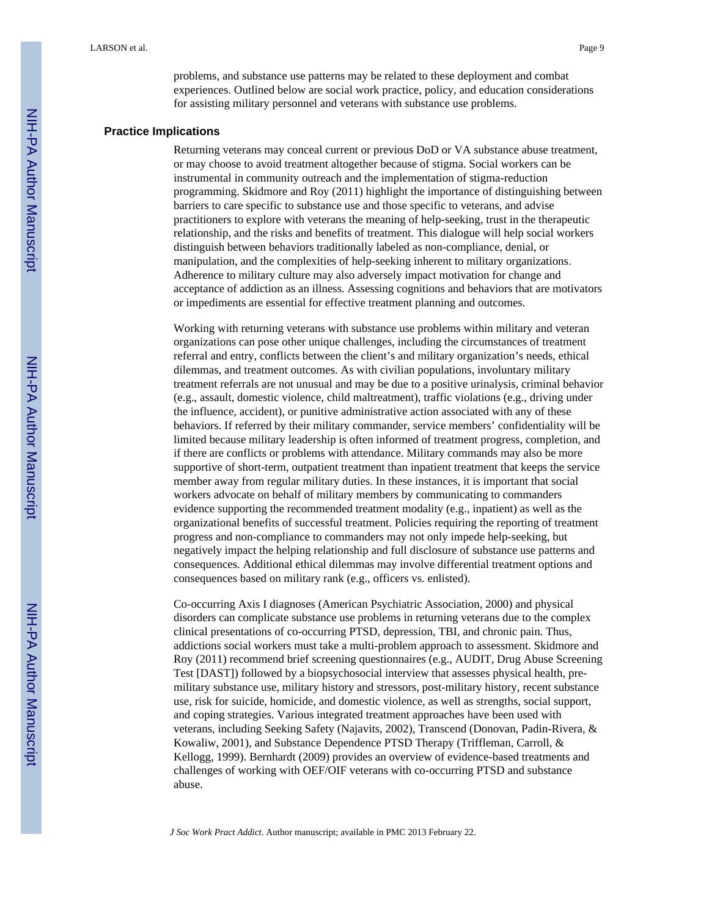problems, and substance use patterns may be related to these deployment and combat experiences. Outlined below are social work practice, policy, and education considerations for assisting military personnel and veterans with substance use problems.

#### **Practice Implications**

Returning veterans may conceal current or previous DoD or VA substance abuse treatment, or may choose to avoid treatment altogether because of stigma. Social workers can be instrumental in community outreach and the implementation of stigma-reduction programming. Skidmore and Roy (2011) highlight the importance of distinguishing between barriers to care specific to substance use and those specific to veterans, and advise practitioners to explore with veterans the meaning of help-seeking, trust in the therapeutic relationship, and the risks and benefits of treatment. This dialogue will help social workers distinguish between behaviors traditionally labeled as non-compliance, denial, or manipulation, and the complexities of help-seeking inherent to military organizations. Adherence to military culture may also adversely impact motivation for change and acceptance of addiction as an illness. Assessing cognitions and behaviors that are motivators or impediments are essential for effective treatment planning and outcomes.

Working with returning veterans with substance use problems within military and veteran organizations can pose other unique challenges, including the circumstances of treatment referral and entry, conflicts between the client's and military organization's needs, ethical dilemmas, and treatment outcomes. As with civilian populations, involuntary military treatment referrals are not unusual and may be due to a positive urinalysis, criminal behavior (e.g., assault, domestic violence, child maltreatment), traffic violations (e.g., driving under the influence, accident), or punitive administrative action associated with any of these behaviors. If referred by their military commander, service members' confidentiality will be limited because military leadership is often informed of treatment progress, completion, and if there are conflicts or problems with attendance. Military commands may also be more supportive of short-term, outpatient treatment than inpatient treatment that keeps the service member away from regular military duties. In these instances, it is important that social workers advocate on behalf of military members by communicating to commanders evidence supporting the recommended treatment modality (e.g., inpatient) as well as the organizational benefits of successful treatment. Policies requiring the reporting of treatment progress and non-compliance to commanders may not only impede help-seeking, but negatively impact the helping relationship and full disclosure of substance use patterns and consequences. Additional ethical dilemmas may involve differential treatment options and consequences based on military rank (e.g., officers vs. enlisted).

Co-occurring Axis I diagnoses (American Psychiatric Association, 2000) and physical disorders can complicate substance use problems in returning veterans due to the complex clinical presentations of co-occurring PTSD, depression, TBI, and chronic pain. Thus, addictions social workers must take a multi-problem approach to assessment. Skidmore and Roy (2011) recommend brief screening questionnaires (e.g., AUDIT, Drug Abuse Screening Test [DAST]) followed by a biopsychosocial interview that assesses physical health, premilitary substance use, military history and stressors, post-military history, recent substance use, risk for suicide, homicide, and domestic violence, as well as strengths, social support, and coping strategies. Various integrated treatment approaches have been used with veterans, including Seeking Safety (Najavits, 2002), Transcend (Donovan, Padin-Rivera, & Kowaliw, 2001), and Substance Dependence PTSD Therapy (Triffleman, Carroll, & Kellogg, 1999). Bernhardt (2009) provides an overview of evidence-based treatments and challenges of working with OEF/OIF veterans with co-occurring PTSD and substance abuse.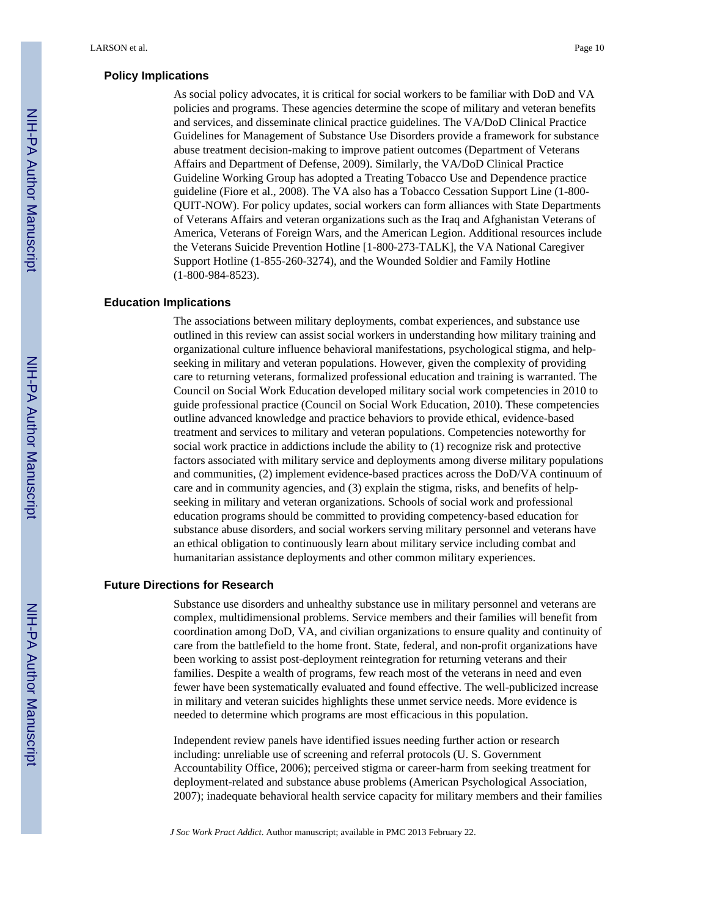#### **Policy Implications**

As social policy advocates, it is critical for social workers to be familiar with DoD and VA policies and programs. These agencies determine the scope of military and veteran benefits and services, and disseminate clinical practice guidelines. The VA/DoD Clinical Practice Guidelines for Management of Substance Use Disorders provide a framework for substance abuse treatment decision-making to improve patient outcomes (Department of Veterans Affairs and Department of Defense, 2009). Similarly, the VA/DoD Clinical Practice Guideline Working Group has adopted a Treating Tobacco Use and Dependence practice guideline (Fiore et al., 2008). The VA also has a Tobacco Cessation Support Line (1-800- QUIT-NOW). For policy updates, social workers can form alliances with State Departments of Veterans Affairs and veteran organizations such as the Iraq and Afghanistan Veterans of America, Veterans of Foreign Wars, and the American Legion. Additional resources include the Veterans Suicide Prevention Hotline [1-800-273-TALK], the VA National Caregiver Support Hotline (1-855-260-3274), and the Wounded Soldier and Family Hotline (1-800-984-8523).

#### **Education Implications**

The associations between military deployments, combat experiences, and substance use outlined in this review can assist social workers in understanding how military training and organizational culture influence behavioral manifestations, psychological stigma, and helpseeking in military and veteran populations. However, given the complexity of providing care to returning veterans, formalized professional education and training is warranted. The Council on Social Work Education developed military social work competencies in 2010 to guide professional practice (Council on Social Work Education, 2010). These competencies outline advanced knowledge and practice behaviors to provide ethical, evidence-based treatment and services to military and veteran populations. Competencies noteworthy for social work practice in addictions include the ability to (1) recognize risk and protective factors associated with military service and deployments among diverse military populations and communities, (2) implement evidence-based practices across the DoD/VA continuum of care and in community agencies, and (3) explain the stigma, risks, and benefits of helpseeking in military and veteran organizations. Schools of social work and professional education programs should be committed to providing competency-based education for substance abuse disorders, and social workers serving military personnel and veterans have an ethical obligation to continuously learn about military service including combat and humanitarian assistance deployments and other common military experiences.

# **Future Directions for Research**

Substance use disorders and unhealthy substance use in military personnel and veterans are complex, multidimensional problems. Service members and their families will benefit from coordination among DoD, VA, and civilian organizations to ensure quality and continuity of care from the battlefield to the home front. State, federal, and non-profit organizations have been working to assist post-deployment reintegration for returning veterans and their families. Despite a wealth of programs, few reach most of the veterans in need and even fewer have been systematically evaluated and found effective. The well-publicized increase in military and veteran suicides highlights these unmet service needs. More evidence is needed to determine which programs are most efficacious in this population.

Independent review panels have identified issues needing further action or research including: unreliable use of screening and referral protocols (U. S. Government Accountability Office, 2006); perceived stigma or career-harm from seeking treatment for deployment-related and substance abuse problems (American Psychological Association, 2007); inadequate behavioral health service capacity for military members and their families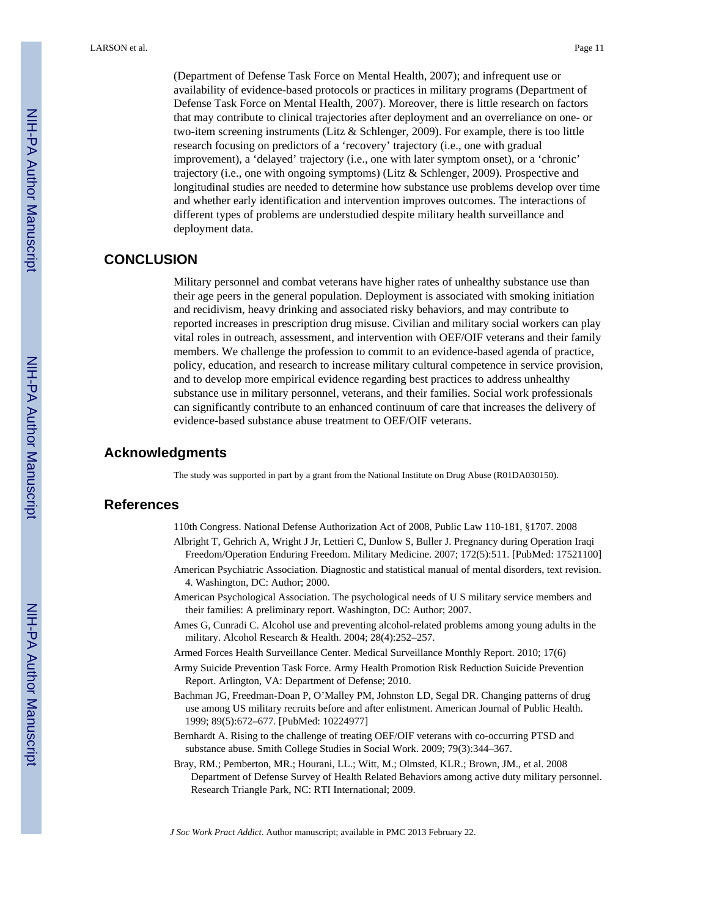(Department of Defense Task Force on Mental Health, 2007); and infrequent use or availability of evidence-based protocols or practices in military programs (Department of Defense Task Force on Mental Health, 2007). Moreover, there is little research on factors that may contribute to clinical trajectories after deployment and an overreliance on one- or two-item screening instruments (Litz & Schlenger, 2009). For example, there is too little research focusing on predictors of a 'recovery' trajectory (i.e., one with gradual improvement), a 'delayed' trajectory (i.e., one with later symptom onset), or a 'chronic' trajectory (i.e., one with ongoing symptoms) (Litz & Schlenger, 2009). Prospective and longitudinal studies are needed to determine how substance use problems develop over time and whether early identification and intervention improves outcomes. The interactions of different types of problems are understudied despite military health surveillance and deployment data.

## **CONCLUSION**

Military personnel and combat veterans have higher rates of unhealthy substance use than their age peers in the general population. Deployment is associated with smoking initiation and recidivism, heavy drinking and associated risky behaviors, and may contribute to reported increases in prescription drug misuse. Civilian and military social workers can play vital roles in outreach, assessment, and intervention with OEF/OIF veterans and their family members. We challenge the profession to commit to an evidence-based agenda of practice, policy, education, and research to increase military cultural competence in service provision, and to develop more empirical evidence regarding best practices to address unhealthy substance use in military personnel, veterans, and their families. Social work professionals can significantly contribute to an enhanced continuum of care that increases the delivery of evidence-based substance abuse treatment to OEF/OIF veterans.

#### **Acknowledgments**

The study was supported in part by a grant from the National Institute on Drug Abuse (R01DA030150).

# **References**

- 110th Congress. National Defense Authorization Act of 2008, Public Law 110-181, §1707. 2008
- Albright T, Gehrich A, Wright J Jr, Lettieri C, Dunlow S, Buller J. Pregnancy during Operation Iraqi Freedom/Operation Enduring Freedom. Military Medicine. 2007; 172(5):511. [PubMed: 17521100]
- American Psychiatric Association. Diagnostic and statistical manual of mental disorders, text revision. 4. Washington, DC: Author; 2000.
- American Psychological Association. The psychological needs of U S military service members and their families: A preliminary report. Washington, DC: Author; 2007.
- Ames G, Cunradi C. Alcohol use and preventing alcohol-related problems among young adults in the military. Alcohol Research & Health. 2004; 28(4):252–257.
- Armed Forces Health Surveillance Center. Medical Surveillance Monthly Report. 2010; 17(6)
- Army Suicide Prevention Task Force. Army Health Promotion Risk Reduction Suicide Prevention Report. Arlington, VA: Department of Defense; 2010.
- Bachman JG, Freedman-Doan P, O'Malley PM, Johnston LD, Segal DR. Changing patterns of drug use among US military recruits before and after enlistment. American Journal of Public Health. 1999; 89(5):672–677. [PubMed: 10224977]
- Bernhardt A. Rising to the challenge of treating OEF/OIF veterans with co-occurring PTSD and substance abuse. Smith College Studies in Social Work. 2009; 79(3):344–367.
- Bray, RM.; Pemberton, MR.; Hourani, LL.; Witt, M.; Olmsted, KLR.; Brown, JM., et al. 2008 Department of Defense Survey of Health Related Behaviors among active duty military personnel. Research Triangle Park, NC: RTI International; 2009.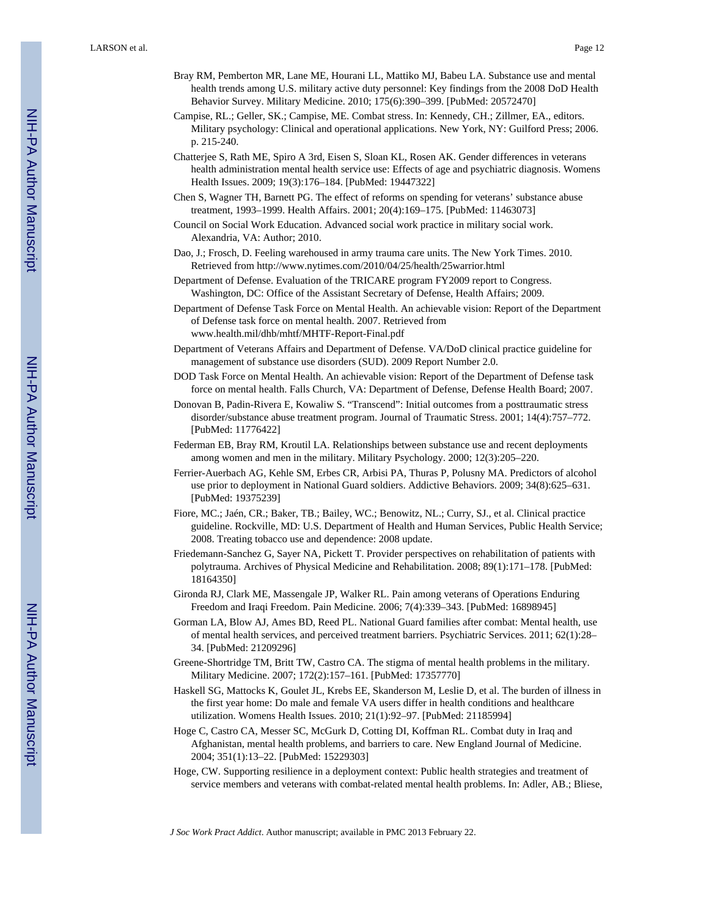- Bray RM, Pemberton MR, Lane ME, Hourani LL, Mattiko MJ, Babeu LA. Substance use and mental health trends among U.S. military active duty personnel: Key findings from the 2008 DoD Health Behavior Survey. Military Medicine. 2010; 175(6):390–399. [PubMed: 20572470]
- Campise, RL.; Geller, SK.; Campise, ME. Combat stress. In: Kennedy, CH.; Zillmer, EA., editors. Military psychology: Clinical and operational applications. New York, NY: Guilford Press; 2006. p. 215-240.
- Chatterjee S, Rath ME, Spiro A 3rd, Eisen S, Sloan KL, Rosen AK. Gender differences in veterans health administration mental health service use: Effects of age and psychiatric diagnosis. Womens Health Issues. 2009; 19(3):176–184. [PubMed: 19447322]
- Chen S, Wagner TH, Barnett PG. The effect of reforms on spending for veterans' substance abuse treatment, 1993–1999. Health Affairs. 2001; 20(4):169–175. [PubMed: 11463073]
- Council on Social Work Education. Advanced social work practice in military social work. Alexandria, VA: Author; 2010.
- Dao, J.; Frosch, D. Feeling warehoused in army trauma care units. The New York Times. 2010. Retrieved from <http://www.nytimes.com/2010/04/25/health/25warrior.html>
- Department of Defense. Evaluation of the TRICARE program FY2009 report to Congress. Washington, DC: Office of the Assistant Secretary of Defense, Health Affairs; 2009.
- Department of Defense Task Force on Mental Health. An achievable vision: Report of the Department of Defense task force on mental health. 2007. Retrieved from www.health.mil/dhb/mhtf/MHTF-Report-Final.pdf
- Department of Veterans Affairs and Department of Defense. VA/DoD clinical practice guideline for management of substance use disorders (SUD). 2009 Report Number 2.0.
- DOD Task Force on Mental Health. An achievable vision: Report of the Department of Defense task force on mental health. Falls Church, VA: Department of Defense, Defense Health Board; 2007.
- Donovan B, Padin-Rivera E, Kowaliw S. "Transcend": Initial outcomes from a posttraumatic stress disorder/substance abuse treatment program. Journal of Traumatic Stress. 2001; 14(4):757–772. [PubMed: 11776422]
- Federman EB, Bray RM, Kroutil LA. Relationships between substance use and recent deployments among women and men in the military. Military Psychology. 2000; 12(3):205–220.
- Ferrier-Auerbach AG, Kehle SM, Erbes CR, Arbisi PA, Thuras P, Polusny MA. Predictors of alcohol use prior to deployment in National Guard soldiers. Addictive Behaviors. 2009; 34(8):625–631. [PubMed: 19375239]
- Fiore, MC.; Jaén, CR.; Baker, TB.; Bailey, WC.; Benowitz, NL.; Curry, SJ., et al. Clinical practice guideline. Rockville, MD: U.S. Department of Health and Human Services, Public Health Service; 2008. Treating tobacco use and dependence: 2008 update.
- Friedemann-Sanchez G, Sayer NA, Pickett T. Provider perspectives on rehabilitation of patients with polytrauma. Archives of Physical Medicine and Rehabilitation. 2008; 89(1):171–178. [PubMed: 18164350]
- Gironda RJ, Clark ME, Massengale JP, Walker RL. Pain among veterans of Operations Enduring Freedom and Iraqi Freedom. Pain Medicine. 2006; 7(4):339–343. [PubMed: 16898945]
- Gorman LA, Blow AJ, Ames BD, Reed PL. National Guard families after combat: Mental health, use of mental health services, and perceived treatment barriers. Psychiatric Services. 2011; 62(1):28– 34. [PubMed: 21209296]
- Greene-Shortridge TM, Britt TW, Castro CA. The stigma of mental health problems in the military. Military Medicine. 2007; 172(2):157–161. [PubMed: 17357770]
- Haskell SG, Mattocks K, Goulet JL, Krebs EE, Skanderson M, Leslie D, et al. The burden of illness in the first year home: Do male and female VA users differ in health conditions and healthcare utilization. Womens Health Issues. 2010; 21(1):92–97. [PubMed: 21185994]
- Hoge C, Castro CA, Messer SC, McGurk D, Cotting DI, Koffman RL. Combat duty in Iraq and Afghanistan, mental health problems, and barriers to care. New England Journal of Medicine. 2004; 351(1):13–22. [PubMed: 15229303]
- Hoge, CW. Supporting resilience in a deployment context: Public health strategies and treatment of service members and veterans with combat-related mental health problems. In: Adler, AB.; Bliese,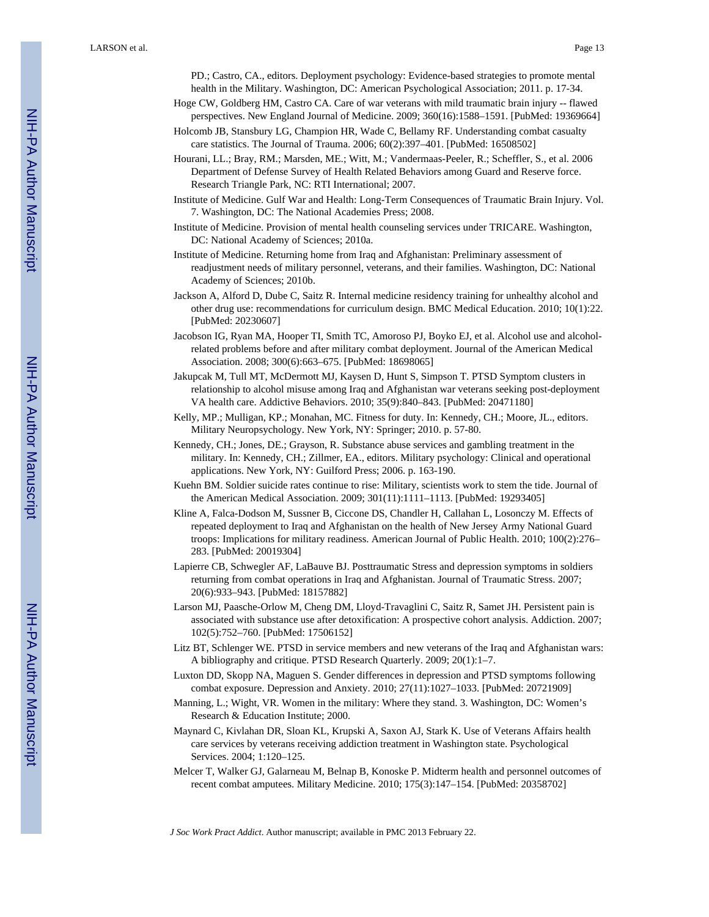PD.; Castro, CA., editors. Deployment psychology: Evidence-based strategies to promote mental health in the Military. Washington, DC: American Psychological Association; 2011. p. 17-34.

- Hoge CW, Goldberg HM, Castro CA. Care of war veterans with mild traumatic brain injury -- flawed perspectives. New England Journal of Medicine. 2009; 360(16):1588–1591. [PubMed: 19369664]
- Holcomb JB, Stansbury LG, Champion HR, Wade C, Bellamy RF. Understanding combat casualty care statistics. The Journal of Trauma. 2006; 60(2):397–401. [PubMed: 16508502]
- Hourani, LL.; Bray, RM.; Marsden, ME.; Witt, M.; Vandermaas-Peeler, R.; Scheffler, S., et al. 2006 Department of Defense Survey of Health Related Behaviors among Guard and Reserve force. Research Triangle Park, NC: RTI International; 2007.
- Institute of Medicine. Gulf War and Health: Long-Term Consequences of Traumatic Brain Injury. Vol. 7. Washington, DC: The National Academies Press; 2008.
- Institute of Medicine. Provision of mental health counseling services under TRICARE. Washington, DC: National Academy of Sciences; 2010a.
- Institute of Medicine. Returning home from Iraq and Afghanistan: Preliminary assessment of readjustment needs of military personnel, veterans, and their families. Washington, DC: National Academy of Sciences; 2010b.
- Jackson A, Alford D, Dube C, Saitz R. Internal medicine residency training for unhealthy alcohol and other drug use: recommendations for curriculum design. BMC Medical Education. 2010; 10(1):22. [PubMed: 20230607]
- Jacobson IG, Ryan MA, Hooper TI, Smith TC, Amoroso PJ, Boyko EJ, et al. Alcohol use and alcoholrelated problems before and after military combat deployment. Journal of the American Medical Association. 2008; 300(6):663–675. [PubMed: 18698065]
- Jakupcak M, Tull MT, McDermott MJ, Kaysen D, Hunt S, Simpson T. PTSD Symptom clusters in relationship to alcohol misuse among Iraq and Afghanistan war veterans seeking post-deployment VA health care. Addictive Behaviors. 2010; 35(9):840–843. [PubMed: 20471180]
- Kelly, MP.; Mulligan, KP.; Monahan, MC. Fitness for duty. In: Kennedy, CH.; Moore, JL., editors. Military Neuropsychology. New York, NY: Springer; 2010. p. 57-80.
- Kennedy, CH.; Jones, DE.; Grayson, R. Substance abuse services and gambling treatment in the military. In: Kennedy, CH.; Zillmer, EA., editors. Military psychology: Clinical and operational applications. New York, NY: Guilford Press; 2006. p. 163-190.
- Kuehn BM. Soldier suicide rates continue to rise: Military, scientists work to stem the tide. Journal of the American Medical Association. 2009; 301(11):1111–1113. [PubMed: 19293405]
- Kline A, Falca-Dodson M, Sussner B, Ciccone DS, Chandler H, Callahan L, Losonczy M. Effects of repeated deployment to Iraq and Afghanistan on the health of New Jersey Army National Guard troops: Implications for military readiness. American Journal of Public Health. 2010; 100(2):276– 283. [PubMed: 20019304]
- Lapierre CB, Schwegler AF, LaBauve BJ. Posttraumatic Stress and depression symptoms in soldiers returning from combat operations in Iraq and Afghanistan. Journal of Traumatic Stress. 2007; 20(6):933–943. [PubMed: 18157882]
- Larson MJ, Paasche-Orlow M, Cheng DM, Lloyd-Travaglini C, Saitz R, Samet JH. Persistent pain is associated with substance use after detoxification: A prospective cohort analysis. Addiction. 2007; 102(5):752–760. [PubMed: 17506152]
- Litz BT, Schlenger WE. PTSD in service members and new veterans of the Iraq and Afghanistan wars: A bibliography and critique. PTSD Research Quarterly. 2009; 20(1):1–7.
- Luxton DD, Skopp NA, Maguen S. Gender differences in depression and PTSD symptoms following combat exposure. Depression and Anxiety. 2010; 27(11):1027–1033. [PubMed: 20721909]
- Manning, L.; Wight, VR. Women in the military: Where they stand. 3. Washington, DC: Women's Research & Education Institute; 2000.
- Maynard C, Kivlahan DR, Sloan KL, Krupski A, Saxon AJ, Stark K. Use of Veterans Affairs health care services by veterans receiving addiction treatment in Washington state. Psychological Services. 2004; 1:120–125.
- Melcer T, Walker GJ, Galarneau M, Belnap B, Konoske P. Midterm health and personnel outcomes of recent combat amputees. Military Medicine. 2010; 175(3):147–154. [PubMed: 20358702]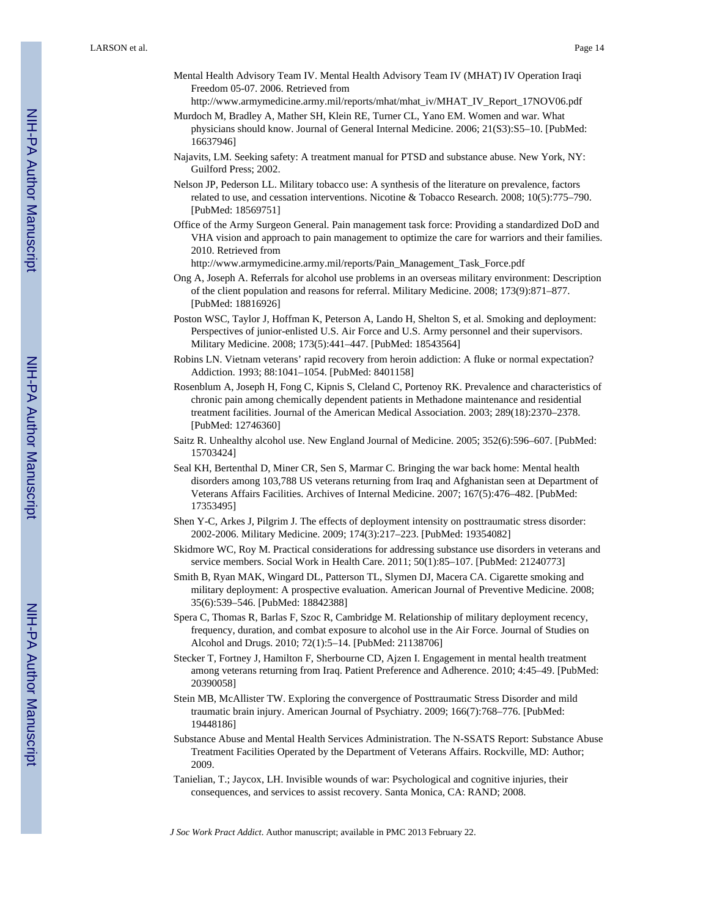- Mental Health Advisory Team IV. Mental Health Advisory Team IV (MHAT) IV Operation Iraqi Freedom 05-07. 2006. Retrieved from [http://www.armymedicine.army.mil/reports/mhat/mhat\\_iv/MHAT\\_IV\\_Report\\_17NOV06.pdf](http://www.armymedicine.army.mil/reports/mhat/mhat_iv/MHAT_IV_Report_17NOV06.pdf)
- Murdoch M, Bradley A, Mather SH, Klein RE, Turner CL, Yano EM. Women and war. What physicians should know. Journal of General Internal Medicine. 2006; 21(S3):S5–10. [PubMed: 16637946]
- Najavits, LM. Seeking safety: A treatment manual for PTSD and substance abuse. New York, NY: Guilford Press; 2002.
- Nelson JP, Pederson LL. Military tobacco use: A synthesis of the literature on prevalence, factors related to use, and cessation interventions. Nicotine & Tobacco Research. 2008; 10(5):775–790. [PubMed: 18569751]
- Office of the Army Surgeon General. Pain management task force: Providing a standardized DoD and VHA vision and approach to pain management to optimize the care for warriors and their families. 2010. Retrieved from
	- [http://www.armymedicine.army.mil/reports/Pain\\_Management\\_Task\\_Force.pdf](http://www.armymedicine.army.mil/reports/Pain_Management_Task_Force.pdf)
- Ong A, Joseph A. Referrals for alcohol use problems in an overseas military environment: Description of the client population and reasons for referral. Military Medicine. 2008; 173(9):871–877. [PubMed: 18816926]
- Poston WSC, Taylor J, Hoffman K, Peterson A, Lando H, Shelton S, et al. Smoking and deployment: Perspectives of junior-enlisted U.S. Air Force and U.S. Army personnel and their supervisors. Military Medicine. 2008; 173(5):441–447. [PubMed: 18543564]
- Robins LN. Vietnam veterans' rapid recovery from heroin addiction: A fluke or normal expectation? Addiction. 1993; 88:1041–1054. [PubMed: 8401158]
- Rosenblum A, Joseph H, Fong C, Kipnis S, Cleland C, Portenoy RK. Prevalence and characteristics of chronic pain among chemically dependent patients in Methadone maintenance and residential treatment facilities. Journal of the American Medical Association. 2003; 289(18):2370–2378. [PubMed: 12746360]
- Saitz R. Unhealthy alcohol use. New England Journal of Medicine. 2005; 352(6):596–607. [PubMed: 15703424]
- Seal KH, Bertenthal D, Miner CR, Sen S, Marmar C. Bringing the war back home: Mental health disorders among 103,788 US veterans returning from Iraq and Afghanistan seen at Department of Veterans Affairs Facilities. Archives of Internal Medicine. 2007; 167(5):476–482. [PubMed: 17353495]
- Shen Y-C, Arkes J, Pilgrim J. The effects of deployment intensity on posttraumatic stress disorder: 2002-2006. Military Medicine. 2009; 174(3):217–223. [PubMed: 19354082]
- Skidmore WC, Roy M. Practical considerations for addressing substance use disorders in veterans and service members. Social Work in Health Care. 2011; 50(1):85–107. [PubMed: 21240773]
- Smith B, Ryan MAK, Wingard DL, Patterson TL, Slymen DJ, Macera CA. Cigarette smoking and military deployment: A prospective evaluation. American Journal of Preventive Medicine. 2008; 35(6):539–546. [PubMed: 18842388]
- Spera C, Thomas R, Barlas F, Szoc R, Cambridge M. Relationship of military deployment recency, frequency, duration, and combat exposure to alcohol use in the Air Force. Journal of Studies on Alcohol and Drugs. 2010; 72(1):5–14. [PubMed: 21138706]
- Stecker T, Fortney J, Hamilton F, Sherbourne CD, Ajzen I. Engagement in mental health treatment among veterans returning from Iraq. Patient Preference and Adherence. 2010; 4:45–49. [PubMed: 20390058]
- Stein MB, McAllister TW. Exploring the convergence of Posttraumatic Stress Disorder and mild traumatic brain injury. American Journal of Psychiatry. 2009; 166(7):768–776. [PubMed: 19448186]
- Substance Abuse and Mental Health Services Administration. The N-SSATS Report: Substance Abuse Treatment Facilities Operated by the Department of Veterans Affairs. Rockville, MD: Author; 2009.
- Tanielian, T.; Jaycox, LH. Invisible wounds of war: Psychological and cognitive injuries, their consequences, and services to assist recovery. Santa Monica, CA: RAND; 2008.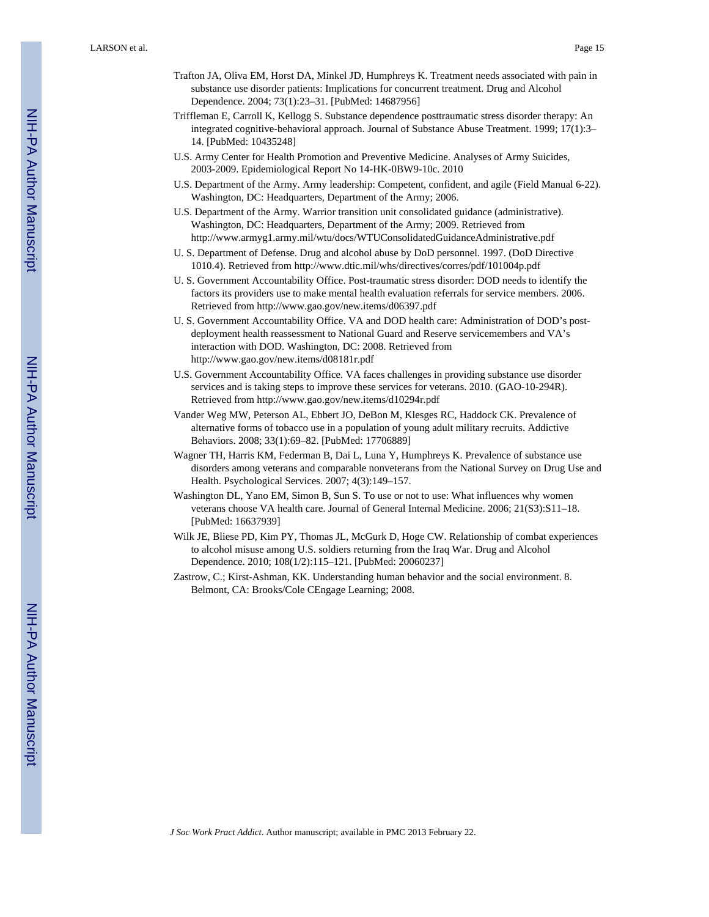- Trafton JA, Oliva EM, Horst DA, Minkel JD, Humphreys K. Treatment needs associated with pain in substance use disorder patients: Implications for concurrent treatment. Drug and Alcohol Dependence. 2004; 73(1):23–31. [PubMed: 14687956]
- Triffleman E, Carroll K, Kellogg S. Substance dependence posttraumatic stress disorder therapy: An integrated cognitive-behavioral approach. Journal of Substance Abuse Treatment. 1999; 17(1):3– 14. [PubMed: 10435248]
- U.S. Army Center for Health Promotion and Preventive Medicine. Analyses of Army Suicides, 2003-2009. Epidemiological Report No 14-HK-0BW9-10c. 2010
- U.S. Department of the Army. Army leadership: Competent, confident, and agile (Field Manual 6-22). Washington, DC: Headquarters, Department of the Army; 2006.
- U.S. Department of the Army. Warrior transition unit consolidated guidance (administrative). Washington, DC: Headquarters, Department of the Army; 2009. Retrieved from <http://www.armyg1.army.mil/wtu/docs/WTUConsolidatedGuidanceAdministrative.pdf>
- U. S. Department of Defense. Drug and alcohol abuse by DoD personnel. 1997. (DoD Directive 1010.4). Retrieved from<http://www.dtic.mil/whs/directives/corres/pdf/101004p.pdf>
- U. S. Government Accountability Office. Post-traumatic stress disorder: DOD needs to identify the factors its providers use to make mental health evaluation referrals for service members. 2006. Retrieved from <http://www.gao.gov/new.items/d06397.pdf>
- U. S. Government Accountability Office. VA and DOD health care: Administration of DOD's postdeployment health reassessment to National Guard and Reserve servicemembers and VA's interaction with DOD. Washington, DC: 2008. Retrieved from <http://www.gao.gov/new.items/d08181r.pdf>
- U.S. Government Accountability Office. VA faces challenges in providing substance use disorder services and is taking steps to improve these services for veterans. 2010. (GAO-10-294R). Retrieved from <http://www.gao.gov/new.items/d10294r.pdf>
- Vander Weg MW, Peterson AL, Ebbert JO, DeBon M, Klesges RC, Haddock CK. Prevalence of alternative forms of tobacco use in a population of young adult military recruits. Addictive Behaviors. 2008; 33(1):69–82. [PubMed: 17706889]
- Wagner TH, Harris KM, Federman B, Dai L, Luna Y, Humphreys K. Prevalence of substance use disorders among veterans and comparable nonveterans from the National Survey on Drug Use and Health. Psychological Services. 2007; 4(3):149–157.
- Washington DL, Yano EM, Simon B, Sun S. To use or not to use: What influences why women veterans choose VA health care. Journal of General Internal Medicine. 2006; 21(S3):S11–18. [PubMed: 16637939]
- Wilk JE, Bliese PD, Kim PY, Thomas JL, McGurk D, Hoge CW. Relationship of combat experiences to alcohol misuse among U.S. soldiers returning from the Iraq War. Drug and Alcohol Dependence. 2010; 108(1/2):115–121. [PubMed: 20060237]
- Zastrow, C.; Kirst-Ashman, KK. Understanding human behavior and the social environment. 8. Belmont, CA: Brooks/Cole CEngage Learning; 2008.